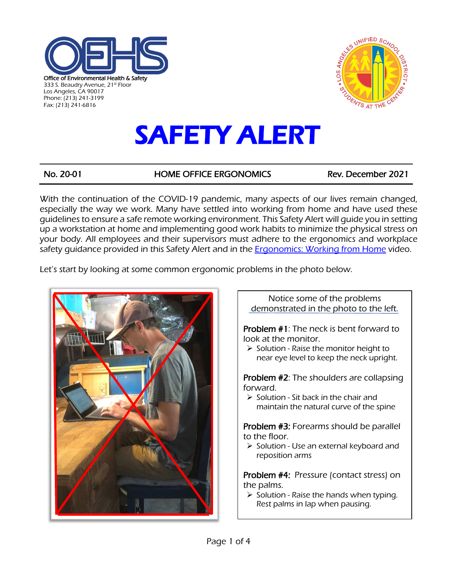



# SAFETY ALERT

No. 20-01 HOME OFFICE ERGONOMICS Rev. December 2021

With the continuation of the COVID-19 pandemic, many aspects of our lives remain changed, especially the way we work. Many have settled into working from home and have used these guidelines to ensure a safe remote working environment. This Safety Alert will guide you in setting up a workstation at home and implementing good work habits to minimize the physical stress on your body. All employees and their supervisors must adhere to the ergonomics and workplace safety guidance provided in this Safety Alert and in the **Ergonomics: Working from Home** video.

Let's start by looking at some common ergonomic problems in the photo below.



Notice some of the problems demonstrated in the photo to the left. Problem #1: The neck is bent forward to look at the monitor.  $\triangleright$  Solution - Raise the monitor height to near eye level to keep the neck upright. Problem #2: The shoulders are collapsing forward.  $\triangleright$  Solution - Sit back in the chair and maintain the natural curve of the spine Problem #3: Forearms should be parallel to the floor.  $\triangleright$  Solution - Use an external keyboard and reposition arms Problem #4: Pressure (contact stress) on the palms.  $\triangleright$  Solution - Raise the hands when typing. Rest palms in lap when pausing.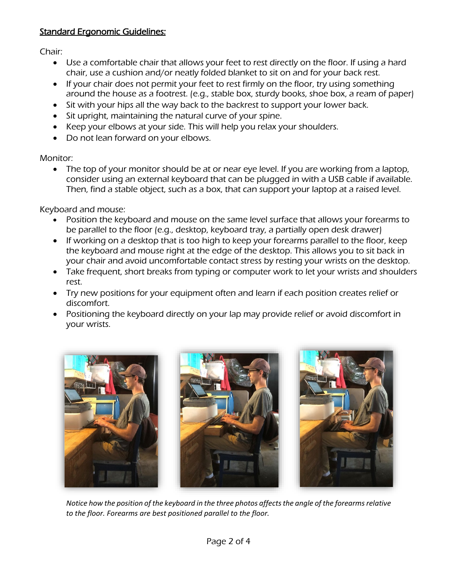### Standard Ergonomic Guidelines:

Chair:

- Use a comfortable chair that allows your feet to rest directly on the floor. If using a hard chair, use a cushion and/or neatly folded blanket to sit on and for your back rest.
- If your chair does not permit your feet to rest firmly on the floor, try using something around the house as a footrest. (e.g., stable box, sturdy books, shoe box, a ream of paper)
- Sit with your hips all the way back to the backrest to support your lower back.
- Sit upright, maintaining the natural curve of your spine.
- Keep your elbows at your side. This will help you relax your shoulders.
- Do not lean forward on your elbows.

Monitor:

• The top of your monitor should be at or near eye level. If you are working from a laptop, consider using an external keyboard that can be plugged in with a USB cable if available. Then, find a stable object, such as a box, that can support your laptop at a raised level.

Keyboard and mouse:

- Position the keyboard and mouse on the same level surface that allows your forearms to be parallel to the floor (e.g., desktop, keyboard tray, a partially open desk drawer)
- If working on a desktop that is too high to keep your forearms parallel to the floor, keep the keyboard and mouse right at the edge of the desktop. This allows you to sit back in your chair and avoid uncomfortable contact stress by resting your wrists on the desktop.
- Take frequent, short breaks from typing or computer work to let your wrists and shoulders rest.
- Try new positions for your equipment often and learn if each position creates relief or discomfort.
- Positioning the keyboard directly on your lap may provide relief or avoid discomfort in your wrists.



*Notice how the position of the keyboard in the three photos affects the angle of the forearms relative to the floor. Forearms are best positioned parallel to the floor.*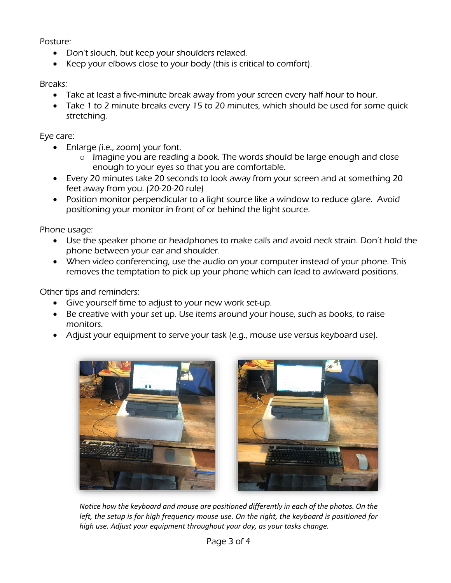Posture:

- Don't slouch, but keep your shoulders relaxed.
- Keep your elbows close to your body (this is critical to comfort).

Breaks:

- Take at least a five-minute break away from your screen every half hour to hour.
- Take 1 to 2 minute breaks every 15 to 20 minutes, which should be used for some quick stretching.

Eye care:

- Enlarge (i.e., zoom) your font.
	- o Imagine you are reading a book. The words should be large enough and close enough to your eyes so that you are comfortable.
- Every 20 minutes take 20 seconds to look away from your screen and at something 20 feet away from you. (20-20-20 rule)
- Position monitor perpendicular to a light source like a window to reduce glare. Avoid positioning your monitor in front of or behind the light source.

Phone usage:

- Use the speaker phone or headphones to make calls and avoid neck strain. Don't hold the phone between your ear and shoulder.
- When video conferencing, use the audio on your computer instead of your phone. This removes the temptation to pick up your phone which can lead to awkward positions.

Other tips and reminders:

- Give yourself time to adjust to your new work set-up.
- Be creative with your set up. Use items around your house, such as books, to raise monitors.
- Adjust your equipment to serve your task (e.g., mouse use versus keyboard use).



*Notice how the keyboard and mouse are positioned differently in each of the photos. On the left, the setup is for high frequency mouse use. On the right, the keyboard is positioned for high use. Adjust your equipment throughout your day, as your tasks change.*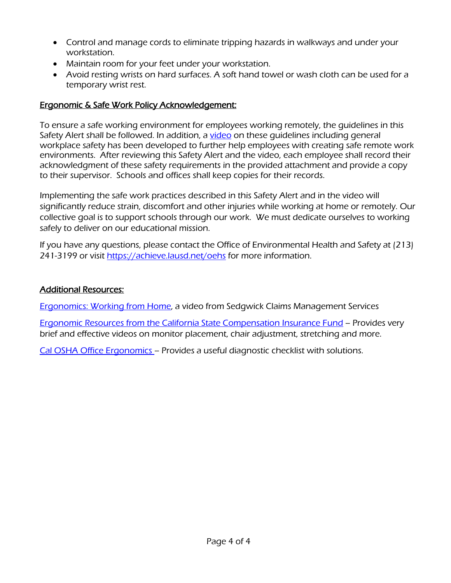- Control and manage cords to eliminate tripping hazards in walkways and under your workstation.
- Maintain room for your feet under your workstation.
- Avoid resting wrists on hard surfaces. A soft hand towel or wash cloth can be used for a temporary wrist rest.

## Ergonomic & Safe Work Policy Acknowledgement:

To ensure a safe working environment for employees working remotely, the guidelines in this Safety Alert shall be followed. In addition, a [video](https://drive.google.com/file/d/1oNzzkeO7sA0-MxOXxRaBXAdDwHskj6jD/view) on these quidelines including general workplace safety has been developed to further help employees with creating safe remote work environments. After reviewing this Safety Alert and the video, each employee shall record their acknowledgment of these safety requirements in the provided attachment and provide a copy to their supervisor. Schools and offices shall keep copies for their records.

Implementing the safe work practices described in this Safety Alert and in the video will significantly reduce strain, discomfort and other injuries while working at home or remotely. Our collective goal is to support schools through our work. We must dedicate ourselves to working safely to deliver on our educational mission.

If you have any questions, please contact the Office of Environmental Health and Safety at (213) 241-3199 or visit<https://achieve.lausd.net/oehs> for more information.

#### Additional Resources:

**[Ergonomics: Working from Home,](https://drive.google.com/file/d/1oNzzkeO7sA0-MxOXxRaBXAdDwHskj6jD/view) a video from Sedgwick Claims Management Services** 

[Ergonomic Resources from the California State Compensation Insurance Fund](https://www.statefundca.com/Home/StaticIndex?id=https://content.statefundca.com//safety/ErgoResources.asp) – Provides very brief and effective videos on monitor placement, chair adjustment, stretching and more.

[Cal OSHA Office Ergonomics](https://www.dir.ca.gov/dosh/dosh_publications/computerergo.pdf) – Provides a useful diagnostic checklist with solutions.